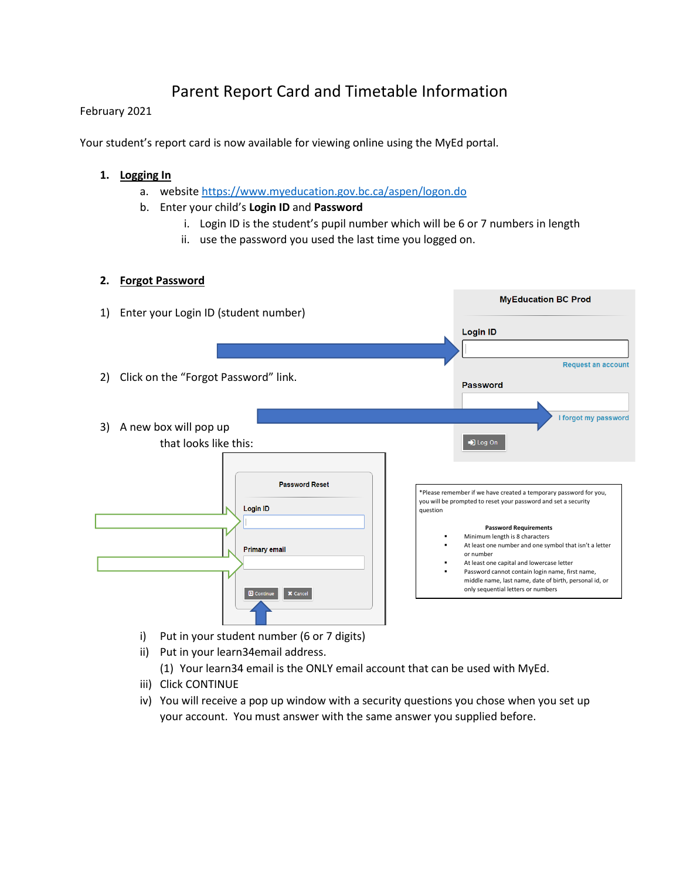# Parent Report Card and Timetable Information

### February 2021

Your student's report card is now available for viewing online using the MyEd portal.

### **1. Logging In**

- a. websit[e https://www.myeducation.gov.bc.ca/aspen/logon.do](https://www.myeducation.gov.bc.ca/aspen/logon.do)
- b. Enter your child's **Login ID** and **Password**
	- i. Login ID is the student's pupil number which will be 6 or 7 numbers in length
	- ii. use the password you used the last time you logged on.

## **2. Forgot Password**



- i) Put in your student number (6 or 7 digits)
- ii) Put in your learn34email address.
	- (1) Your learn34 email is the ONLY email account that can be used with MyEd.
- iii) Click CONTINUE
- iv) You will receive a pop up window with a security questions you chose when you set up your account. You must answer with the same answer you supplied before.